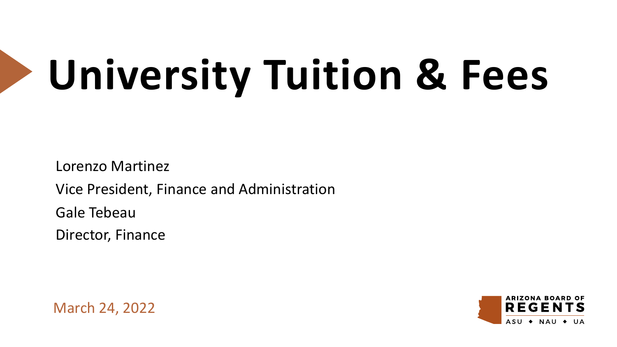# **University Tuition & Fees**

Lorenzo Martinez

Vice President, Finance and Administration

Gale Tebeau

Director, Finance

March 24, 2022

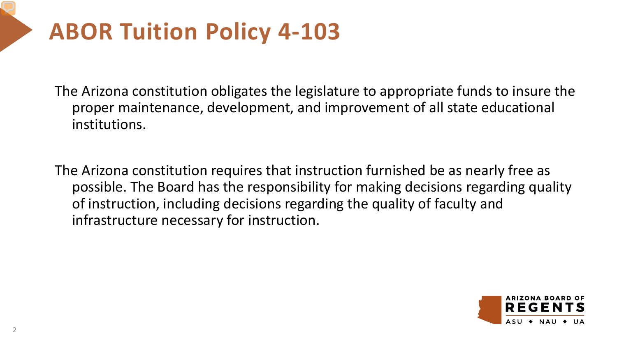# **ABOR Tuition Policy 4-103**

The Arizona constitution obligates the legislature to appropriate funds to insure the proper maintenance, development, and improvement of all state educational institutions.

The Arizona constitution requires that instruction furnished be as nearly free as possible. The Board has the responsibility for making decisions regarding quality of instruction, including decisions regarding the quality of faculty and infrastructure necessary for instruction.

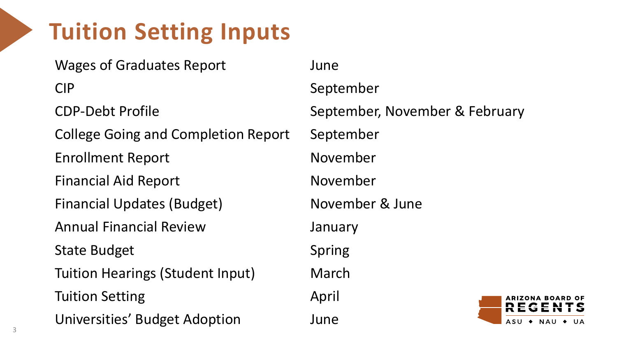# **Tuition Setting Inputs**

Wages of Graduates Report Mages of Graduates Report CIP September CDP-Debt Profile The September, November & February College Going and Completion Report September Enrollment Report November Financial Aid Report November Financial Updates (Budget) Movember & June Annual Financial Review January State Budget Spring Tuition Hearings (Student Input) March Tuition Setting Tuition Setting Universities' Budget Adoption June



3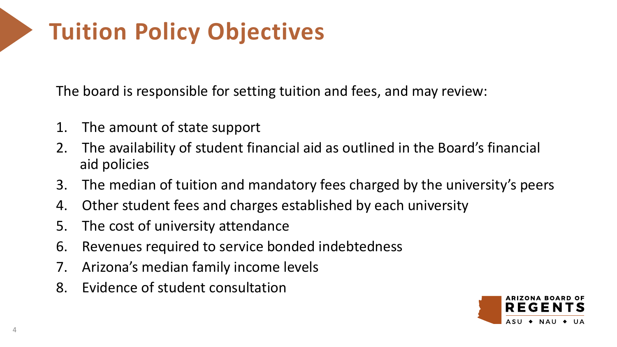# **Tuition Policy Objectives**

The board is responsible for setting tuition and fees, and may review:

- 1. The amount of state support
- 2. The availability of student financial aid as outlined in the Board's financial aid policies
- 3. The median of tuition and mandatory fees charged by the university's peers
- 4. Other student fees and charges established by each university
- 5. The cost of university attendance
- 6. Revenues required to service bonded indebtedness
- 7. Arizona's median family income levels
- 8. Evidence of student consultation

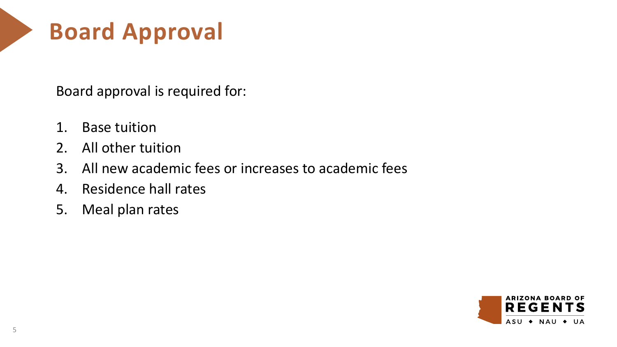# **Board Approval**

Board approval is required for:

- 1. Base tuition
- 2. All other tuition
- 3. All new academic fees or increases to academic fees
- 4. Residence hall rates
- 5. Meal plan rates

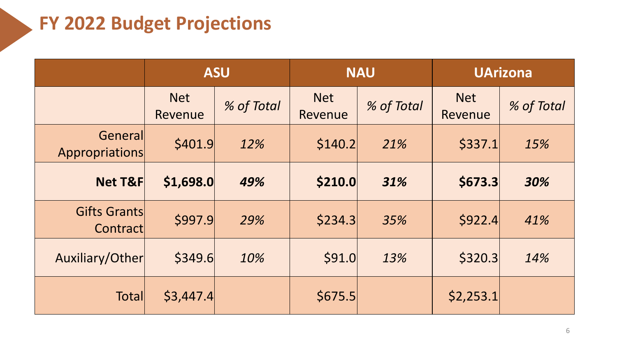### **FY 2022 Budget Projections**

|                                  |                       | <b>ASU</b> |                       | <b>NAU</b> | <b>UArizona</b>       |            |
|----------------------------------|-----------------------|------------|-----------------------|------------|-----------------------|------------|
|                                  | <b>Net</b><br>Revenue | % of Total | <b>Net</b><br>Revenue | % of Total | <b>Net</b><br>Revenue | % of Total |
| General<br><b>Appropriations</b> | \$401.9               | 12%        | \$140.2               | 21%        | \$337.1               | 15%        |
| <b>Net T&amp;F</b>               | \$1,698.0             | 49%        | \$210.0               | 31%        | \$673.3               | 30%        |
| <b>Gifts Grants</b><br>Contract  | \$997.9               | 29%        | \$234.3               | 35%        | \$922.4               | 41%        |
| Auxiliary/Other                  | \$349.6               | 10%        | \$91.0                | 13%        | \$320.3               | 14%        |
| Total                            | \$3,447.4             |            | \$675.5               |            | \$2,253.1             |            |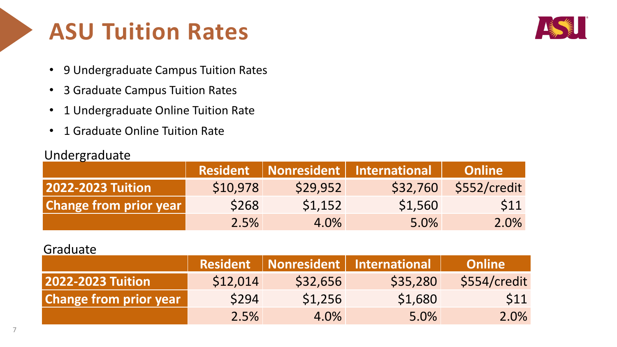# **ASU Tuition Rates**



- 9 Undergraduate Campus Tuition Rates
- 3 Graduate Campus Tuition Rates
- 1 Undergraduate Online Tuition Rate
- 1 Graduate Online Tuition Rate

#### Undergraduate

|                               |              |          | Resident Nonresident International | <b>Online</b> |
|-------------------------------|--------------|----------|------------------------------------|---------------|
| <b>2022-2023 Tuition</b>      | \$10,978     | \$29,952 | \$32,760                           | \$552/credit  |
| <b>Change from prior year</b> | <b>\$268</b> | \$1,152  | \$1,560                            | \$11          |
|                               | 2.5%         | 4.0%     | 5.0%                               | 2.0%          |

#### Graduate

|                               |          |          | Resident Nonresident International | <b>Online</b>                             |
|-------------------------------|----------|----------|------------------------------------|-------------------------------------------|
| <b>2022-2023 Tuition</b>      | \$12,014 | \$32,656 | \$35,280                           | \$554/credit                              |
| <b>Change from prior year</b> | S294     | \$1,256  | \$1,680                            | $\begin{array}{c} \fbox{511} \end{array}$ |
|                               | 2.5%     | 4.0%     | 5.0%                               | 2.0%                                      |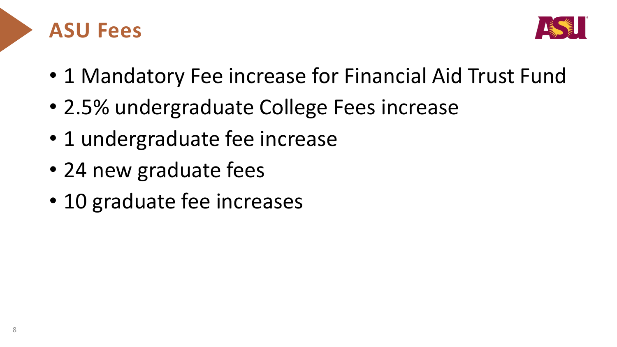



- 1 Mandatory Fee increase for Financial Aid Trust Fund
- 2.5% undergraduate College Fees increase
- 1 undergraduate fee increase
- 24 new graduate fees
- 10 graduate fee increases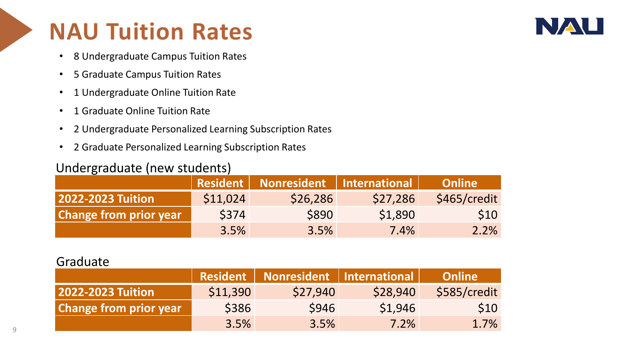# **NAU Tuition Rates**



- 8 Undergraduate Campus Tuition Rates
- 5 Graduate Campus Tuition Rates
- 1 Undergraduate Online Tuition Rate
- 1 Graduate Online Tuition Rate
- 2 Undergraduate Personalized Learning Subscription Rates
- 2 Graduate Personalized Learning Subscription Rates

#### Undergraduate (new students)

|                               |              | <b>Resident   Nonresident  </b> | <b>International</b> | <b>Online</b> |
|-------------------------------|--------------|---------------------------------|----------------------|---------------|
| <b>2022-2023 Tuition</b>      | \$11,024     | \$26,286                        | \$27,286             | \$465/credit  |
| <b>Change from prior year</b> | <b>\$374</b> | \$890                           | \$1,890              | \$10          |
|                               | 3.5%         | 3.5%                            | 7.4%                 | 2.2%          |

#### Graduate

|                               |          | <b>Resident   Nonresident   International   </b> |          | <b>Online</b> |
|-------------------------------|----------|--------------------------------------------------|----------|---------------|
| <b>2022-2023 Tuition</b>      | \$11,390 | \$27,940                                         | \$28,940 | \$585/credit  |
| <b>Change from prior year</b> | \$386    | <b>\$946</b>                                     | \$1,946  | \$10          |
|                               | 3.5%     | 3.5%                                             | 7.2%     | 1.7%          |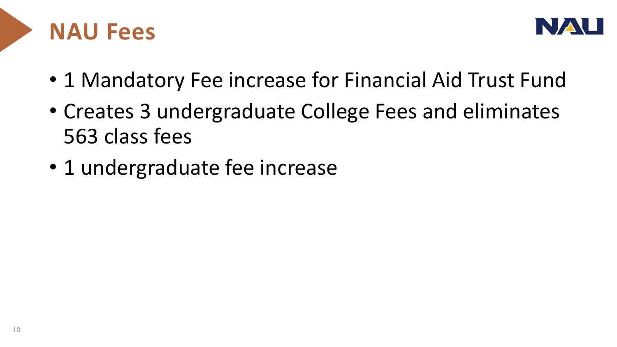



- 1 Mandatory Fee increase for Financial Aid Trust Fund
- Creates 3 undergraduate College Fees and eliminates 563 class fees
- 1 undergraduate fee increase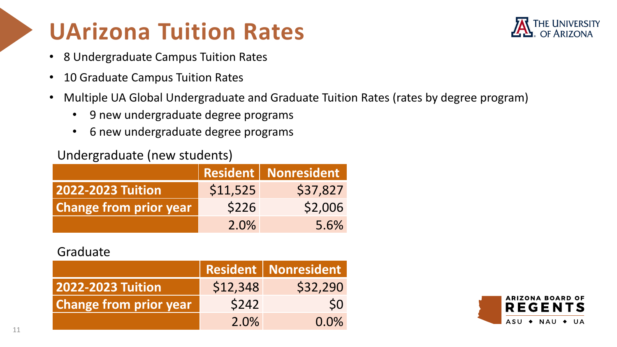# **UArizona Tuition Rates**



- 8 Undergraduate Campus Tuition Rates
- 10 Graduate Campus Tuition Rates
- Multiple UA Global Undergraduate and Graduate Tuition Rates (rates by degree program)
	- 9 new undergraduate degree programs
	- 6 new undergraduate degree programs

#### Undergraduate (new students)

|                               |          | <b>Resident   Nonresident</b> |
|-------------------------------|----------|-------------------------------|
| <b>2022-2023 Tuition</b>      | \$11,525 | \$37,827                      |
| <b>Change from prior year</b> | \$226    | \$2,006                       |
|                               | 2.0%     | 5.6%                          |

#### Graduate

|                               |          | <b>Resident Nonresident</b> |
|-------------------------------|----------|-----------------------------|
| <b>2022-2023 Tuition</b>      | \$12,348 | \$32,290                    |
| <b>Change from prior year</b> | \$242    | <b>SO</b>                   |
|                               | 2.0%     | $0.0\%$                     |

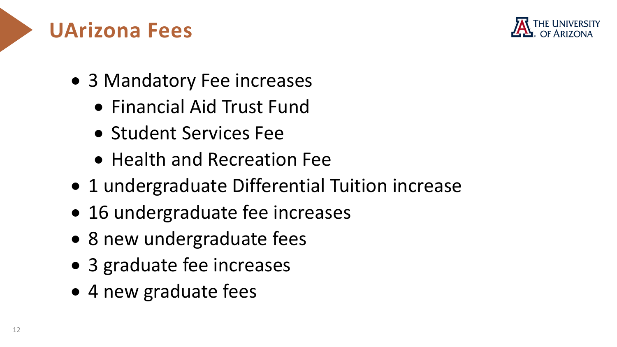

### **UArizona Fees**

- 3 Mandatory Fee increases
	- Financial Aid Trust Fund
	- Student Services Fee
	- Health and Recreation Fee
- 1 undergraduate Differential Tuition increase
- 16 undergraduate fee increases
- 8 new undergraduate fees
- 3 graduate fee increases
- 4 new graduate fees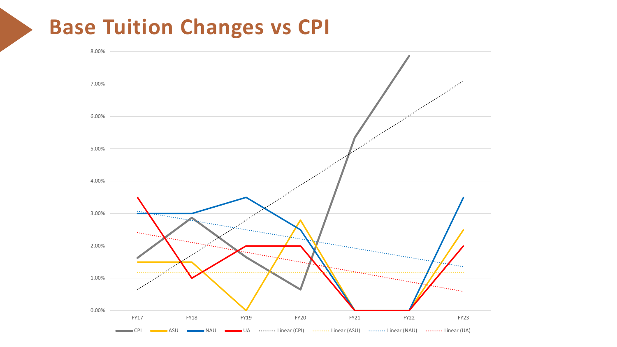### **Base Tuition Changes vs CPI**

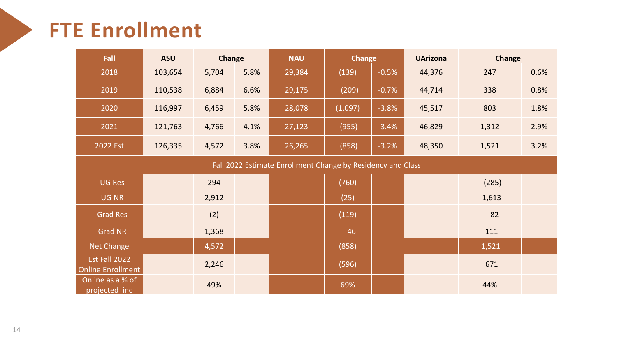### **FTE Enrollment**

| Fall                                      | <b>ASU</b>                                                  | Change |      | <b>NAU</b> | <b>Change</b> |         | <b>UArizona</b> | Change |      |
|-------------------------------------------|-------------------------------------------------------------|--------|------|------------|---------------|---------|-----------------|--------|------|
| 2018                                      | 103,654                                                     | 5,704  | 5.8% | 29,384     | (139)         | $-0.5%$ | 44,376          | 247    | 0.6% |
| 2019                                      | 110,538                                                     | 6,884  | 6.6% | 29,175     | (209)         | $-0.7%$ | 44,714          | 338    | 0.8% |
| 2020                                      | 116,997                                                     | 6,459  | 5.8% | 28,078     | (1,097)       | $-3.8%$ | 45,517          | 803    | 1.8% |
| 2021                                      | 121,763                                                     | 4,766  | 4.1% | 27,123     | (955)         | $-3.4%$ | 46,829          | 1,312  | 2.9% |
| 2022 Est                                  | 126,335                                                     | 4,572  | 3.8% | 26,265     | (858)         | $-3.2%$ | 48,350          | 1,521  | 3.2% |
|                                           | Fall 2022 Estimate Enrollment Change by Residency and Class |        |      |            |               |         |                 |        |      |
| <b>UG Res</b>                             |                                                             | 294    |      |            | (760)         |         |                 | (285)  |      |
| UG NR                                     |                                                             | 2,912  |      |            | (25)          |         |                 | 1,613  |      |
| Grad Res                                  |                                                             | (2)    |      |            | (119)         |         |                 | 82     |      |
| <b>Grad NR</b>                            |                                                             | 1,368  |      |            | 46            |         |                 | 111    |      |
| Net Change                                |                                                             | 4,572  |      |            | (858)         |         |                 | 1,521  |      |
| Est Fall 2022<br><b>Online Enrollment</b> |                                                             | 2,246  |      |            | (596)         |         |                 | 671    |      |
| Online as a % of<br>projected inc         |                                                             | 49%    |      |            | 69%           |         |                 | 44%    |      |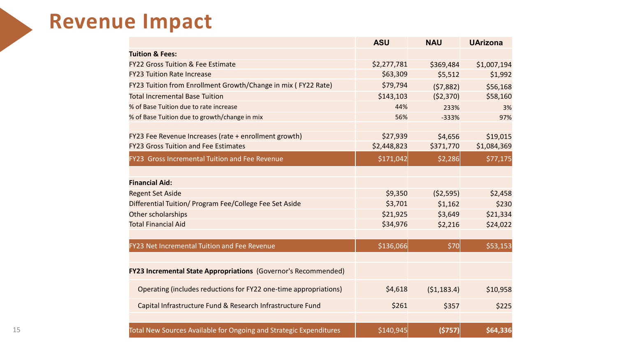### **Revenue Impact**

|                                                                       | <b>ASU</b>  | <b>NAU</b>  | <b>UArizona</b> |
|-----------------------------------------------------------------------|-------------|-------------|-----------------|
| <b>Tuition &amp; Fees:</b>                                            |             |             |                 |
| <b>FY22 Gross Tuition &amp; Fee Estimate</b>                          | \$2,277,781 | \$369,484   | \$1,007,194     |
| <b>FY23 Tuition Rate Increase</b>                                     | \$63,309    | \$5,512     | \$1,992         |
| FY23 Tuition from Enrollment Growth/Change in mix (FY22 Rate)         | \$79,794    | (57,882)    | \$56,168        |
| <b>Total Incremental Base Tuition</b>                                 | \$143,103   | (52, 370)   | \$58,160        |
| % of Base Tuition due to rate increase                                | 44%         | 233%        | 3%              |
| % of Base Tuition due to growth/change in mix                         | 56%         | $-333%$     | 97%             |
| FY23 Fee Revenue Increases (rate + enrollment growth)                 | \$27,939    | \$4,656     | \$19,015        |
| <b>FY23 Gross Tuition and Fee Estimates</b>                           | \$2,448,823 | \$371,770   | \$1,084,369     |
| FY23 Gross Incremental Tuition and Fee Revenue                        | \$171,042   | \$2,286     | \$77,175        |
| <b>Financial Aid:</b>                                                 |             |             |                 |
| <b>Regent Set Aside</b>                                               | \$9,350     | (52, 595)   | \$2,458         |
| Differential Tuition/ Program Fee/College Fee Set Aside               | \$3,701     | \$1,162     | \$230           |
| Other scholarships                                                    | \$21,925    | \$3,649     | \$21,334        |
| <b>Total Financial Aid</b>                                            | \$34,976    | \$2,216     | \$24,022        |
| <b>FY23 Net Incremental Tuition and Fee Revenue</b>                   | \$136,066   | \$70        | \$53,153        |
| <b>FY23 Incremental State Appropriations (Governor's Recommended)</b> |             |             |                 |
| Operating (includes reductions for FY22 one-time appropriations)      | \$4,618     | (\$1,183.4) | \$10,958        |
| Capital Infrastructure Fund & Research Infrastructure Fund            | \$261       | \$357       | \$225           |
| Total New Sources Available for Ongoing and Strategic Expenditures    | \$140,945   | (5757)      | \$64,336        |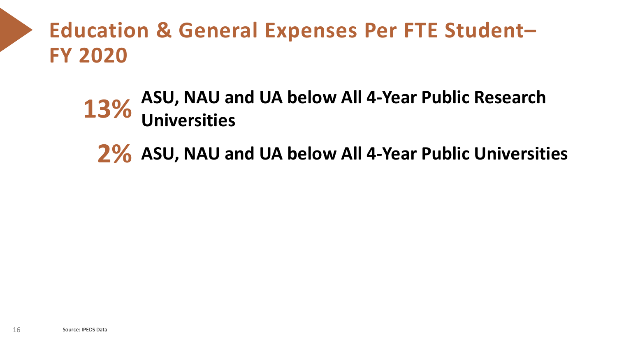# **Education & General Expenses Per FTE Student– FY 2020**

# **13% ASU, NAU and UA below All 4-Year Public Research**  13% modernities

**2% ASU, NAU and UA below All 4-Year Public Universities**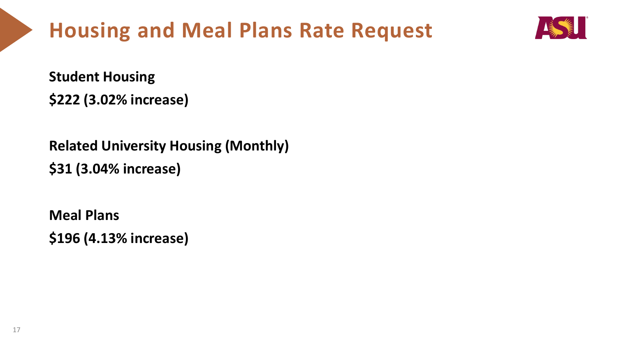### **Housing and Meal Plans Rate Request**



**Student Housing \$222 (3.02% increase)**

**Related University Housing (Monthly) \$31 (3.04% increase)**

**Meal Plans \$196 (4.13% increase)**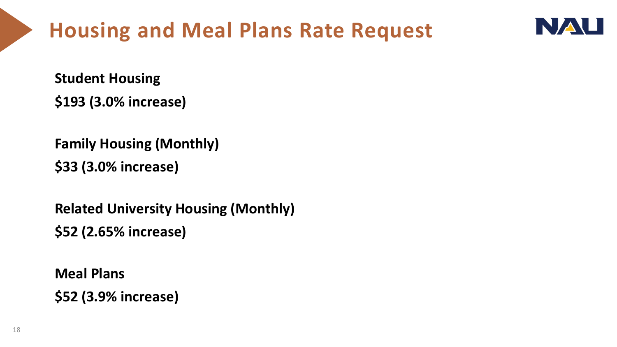# **Housing and Meal Plans Rate Request**

NAU

**Student Housing \$193 (3.0% increase)**

**Family Housing (Monthly) \$33 (3.0% increase)**

**Related University Housing (Monthly) \$52 (2.65% increase)**

**Meal Plans \$52 (3.9% increase)**